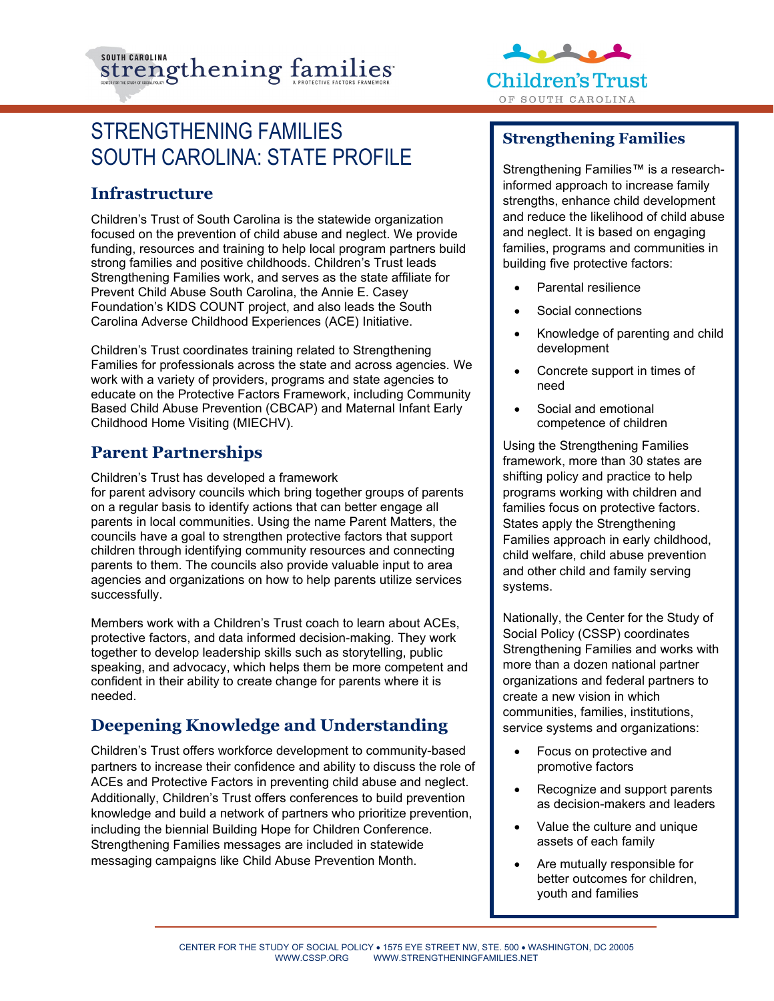



# STRENGTHENING FAMILIES SOUTH CAROLINA: STATE PROFILE

## **Infrastructure**

Children's Trust of South Carolina is the statewide organization focused on the prevention of child abuse and neglect. We provide funding, resources and training to help local program partners build strong families and positive childhoods. Children's Trust leads Strengthening Families work, and serves as the state affiliate for Prevent Child Abuse South Carolina, the Annie E. Casey Foundation's KIDS COUNT project, and also leads the South Carolina Adverse Childhood Experiences (ACE) Initiative.

Children's Trust coordinates training related to Strengthening Families for professionals across the state and across agencies. We work with a variety of providers, programs and state agencies to educate on the Protective Factors Framework, including Community Based Child Abuse Prevention (CBCAP) and Maternal Infant Early Childhood Home Visiting (MIECHV).

# **Parent Partnerships**

Children's Trust has developed a framework for parent advisory councils which bring together groups of parents on a regular basis to identify actions that can better engage all parents in local communities. Using the name Parent Matters, the councils have a goal to strengthen protective factors that support children through identifying community resources and connecting parents to them. The councils also provide valuable input to area agencies and organizations on how to help parents utilize services successfully.

Members work with a Children's Trust coach to learn about ACEs, protective factors, and data informed decision-making. They work together to develop leadership skills such as storytelling, public speaking, and advocacy, which helps them be more competent and confident in their ability to create change for parents where it is needed.

# **Deepening Knowledge and Understanding**

Children's Trust offers workforce development to community-based partners to increase their confidence and ability to discuss the role of ACEs and Protective Factors in preventing child abuse and neglect. Additionally, Children's Trust offers conferences to build prevention knowledge and build a network of partners who prioritize prevention, including the biennial Building Hope for Children Conference. Strengthening Families messages are included in statewide messaging campaigns like Child Abuse Prevention Month.

# **Strengthening Families**

Strengthening Families™ is a researchinformed approach to increase family strengths, enhance child development and reduce the likelihood of child abuse and neglect. It is based on engaging families, programs and communities in building five protective factors:

- Parental resilience
- Social connections
- Knowledge of parenting and child development
- Concrete support in times of need
- Social and emotional competence of children

Using the Strengthening Families framework, more than 30 states are shifting policy and practice to help programs working with children and families focus on protective factors. States apply the Strengthening Families approach in early childhood, child welfare, child abuse prevention and other child and family serving systems.

Nationally, the Center for the Study of Social Policy (CSSP) coordinates Strengthening Families and works with more than a dozen national partner organizations and federal partners to create a new vision in which communities, families, institutions, service systems and organizations:

- Focus on protective and promotive factors
- Recognize and support parents as decision-makers and leaders
- Value the culture and unique assets of each family
- Are mutually responsible for better outcomes for children, youth and families